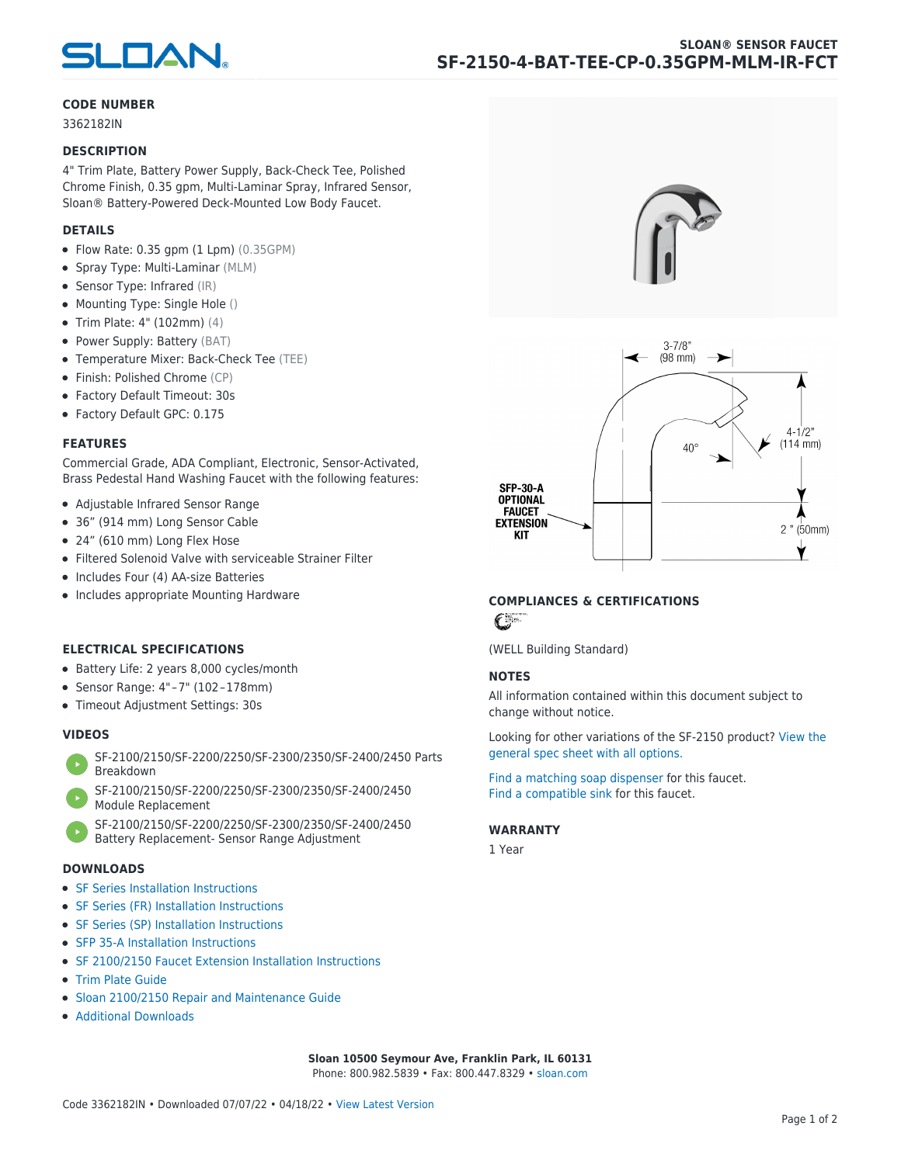

### **CODE NUMBER**

3362182IN

#### **DESCRIPTION**

4" Trim Plate, Battery Power Supply, Back-Check Tee, Polished Chrome Finish, 0.35 gpm, Multi-Laminar Spray, Infrared Sensor, Sloan® Battery-Powered Deck-Mounted Low Body Faucet.

### **DETAILS**

- $\bullet$  Flow Rate: 0.35 gpm (1 Lpm) (0.35GPM)
- Spray Type: Multi-Laminar (MLM)
- Sensor Type: Infrared (IR)
- Mounting Type: Single Hole ()
- Trim Plate: 4" (102mm) (4)
- Power Supply: Battery (BAT)
- Temperature Mixer: Back-Check Tee (TEE)
- Finish: Polished Chrome (CP)
- Factory Default Timeout: 30s
- Factory Default GPC: 0.175

#### **FEATURES**

Commercial Grade, ADA Compliant, Electronic, Sensor-Activated, Brass Pedestal Hand Washing Faucet with the following features:

- Adjustable Infrared Sensor Range
- 36" (914 mm) Long Sensor Cable
- 24" (610 mm) Long Flex Hose
- Filtered Solenoid Valve with serviceable Strainer Filter
- Includes Four (4) AA-size Batteries
- Includes appropriate Mounting Hardware

### **ELECTRICAL SPECIFICATIONS**

- Battery Life: 2 years 8,000 cycles/month
- Sensor Range: 4" – 7" (102 – 178mm)
- Timeout Adjustment Settings: 30s

## **VIDEOS**

- [SF-2100/2150/SF-2200/2250/SF-2300/2350/SF-2400/2450 Parts](https://vimeo.com/307089947) [Breakdown](https://vimeo.com/307089947)
- [SF-2100/2150/SF-2200/2250/SF-2300/2350/SF-2400/2450](https://vimeo.com/307087494) [Module Replacement](https://vimeo.com/307087494)
- [SF-2100/2150/SF-2200/2250/SF-2300/2350/SF-2400/2450](https://vimeo.com/307085279) [Battery Replacement- Sensor Range Adjustment](https://vimeo.com/307085279)

#### **DOWNLOADS**

- [SF Series Installation Instructions](https://en.sloan.com/sites/default/files/2018-02/II0816496Rev5_0.pdf)
- [SF Series \(FR\) Installation Instructions](https://en.sloan.com/sites/default/files/2015-12/0816563-fr.pdf)
- [SF Series \(SP\) Installation Instructions](https://en.sloan.com/sites/default/files/2022-03/0816568SP_Rev2.pdf)
- [SFP 35-A Installation Instructions](https://en.sloan.com/sites/default/files/2015-12/0816817.pdf)
- [SF 2100/2150 Faucet Extension Installation Instructions](https://en.sloan.com/sites/default/files/2015-12/0816736.pdf)
- [Trim Plate Guide](https://en.sloan.com/sites/default/files/2020-03/Trim_PlatesAllFaucets.pdf)
- [Sloan 2100/2150 Repair and Maintenance Guide](https://en.sloan.com/sites/default/files/2022-06/Sloan-SF-2100-2150.pdf)
- [Additional Downloads](https://en.sloan.com/commercial-bathroom-products/faucets/sloan/sf-2150)





## **COMPLIANCES & CERTIFICATIONS**

 $\epsilon$ 

(WELL Building Standard)

## **NOTES**

All information contained within this document subject to change without notice.

[Looking for other variations of the SF-2150 product? View the](https://en.sloan.com/general-spec/436) [general spec sheet with all options.](https://en.sloan.com/general-spec/436)

[Find a matching soap dispenser](https://en.sloan.com/commercial-bathroom-products/soap-dispensers) for this faucet. [Find a compatible sink](https://en.sloan.com/commercial-bathroom-products/sinks) for this faucet.

#### **WARRANTY**

1 Year

**Sloan 10500 Seymour Ave, Franklin Park, IL 60131** Phone: 800.982.5839 • Fax: 800.447.8329 • [sloan.com](https://www.sloan.com)